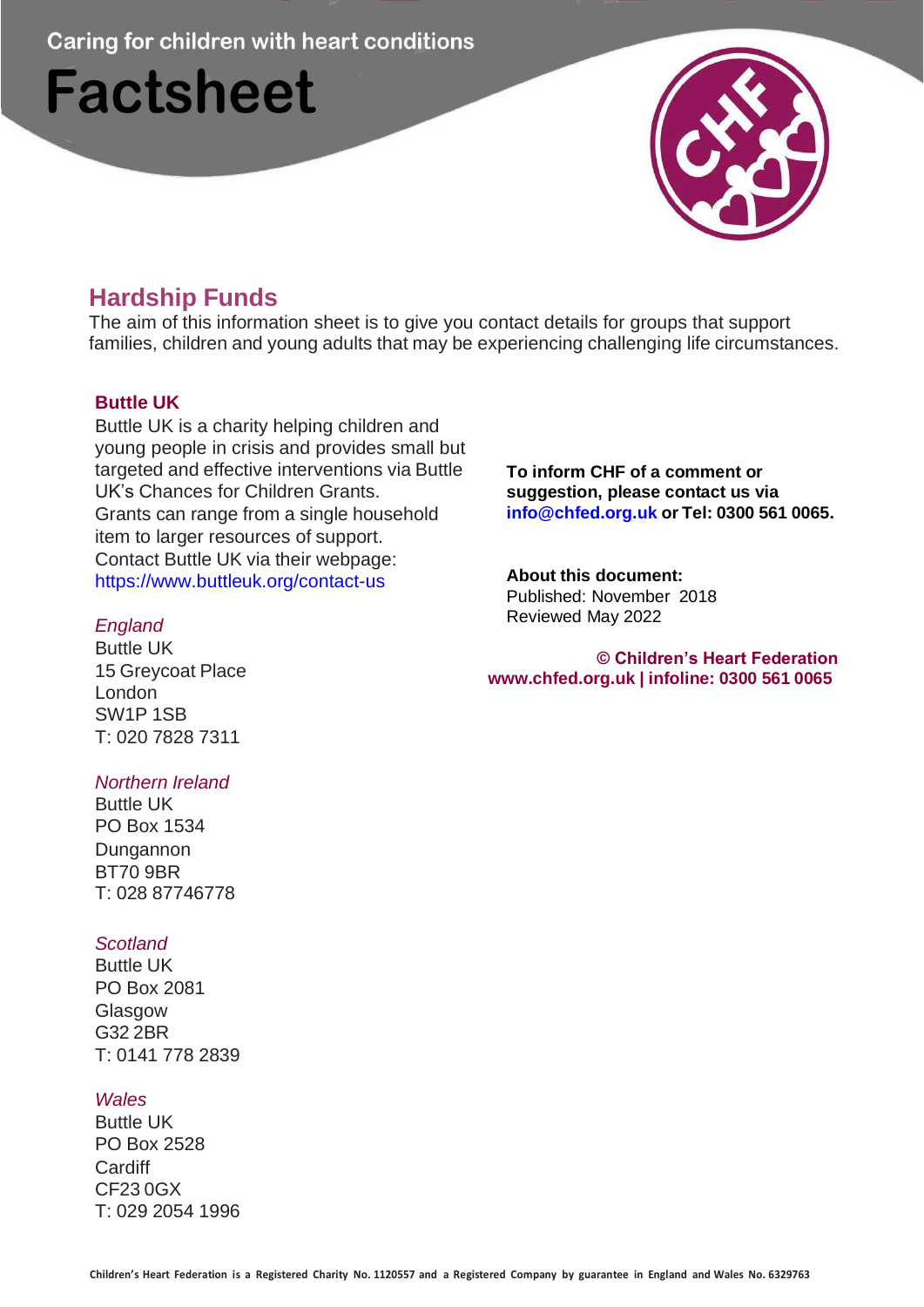Caring for children with heart conditions

# **Factsheet**



# **Hardship Funds**

The aim of this information sheet is to give you contact details for groups that support families, children and young adults that may be experiencing challenging life circumstances.

# **Buttle UK**

Buttle UK is a charity helping children and young people in crisis and provides small but targeted and effective interventions via Buttle UK's Chances for Children Grants. Grants can range from a single household item to larger resources of support. Contact Buttle UK via their webpage: [https://www.buttleuk.org/contact-us](http://www.buttleuk.org/contact-us)

# *England*

Buttle UK 15 Greycoat Place London SW1P 1SB T: 020 7828 7311

# *Northern Ireland*

Buttle UK PO Box 1534 Dungannon BT70 9BR T: 028 87746778

# *Scotland*

Buttle UK PO Box 2081 Glasgow G32 2BR T: 0141 778 2839

#### *Wales*

Buttle UK PO Box 2528 **Cardiff** CF23 0GX T: 029 2054 1996 **To inform CHF of a comment or suggestion, please contact us via [info@chfed.org.uk](mailto:info@chfed.org.uk) or Tel: 0300 561 0065.**

#### **About this document:** Published: November 2018 Reviewed May 2022

#### **© Children's Heart Federation [www.chfed.org.uk](http://www.chfed.org.uk/) | infoline: 0300 561 0065**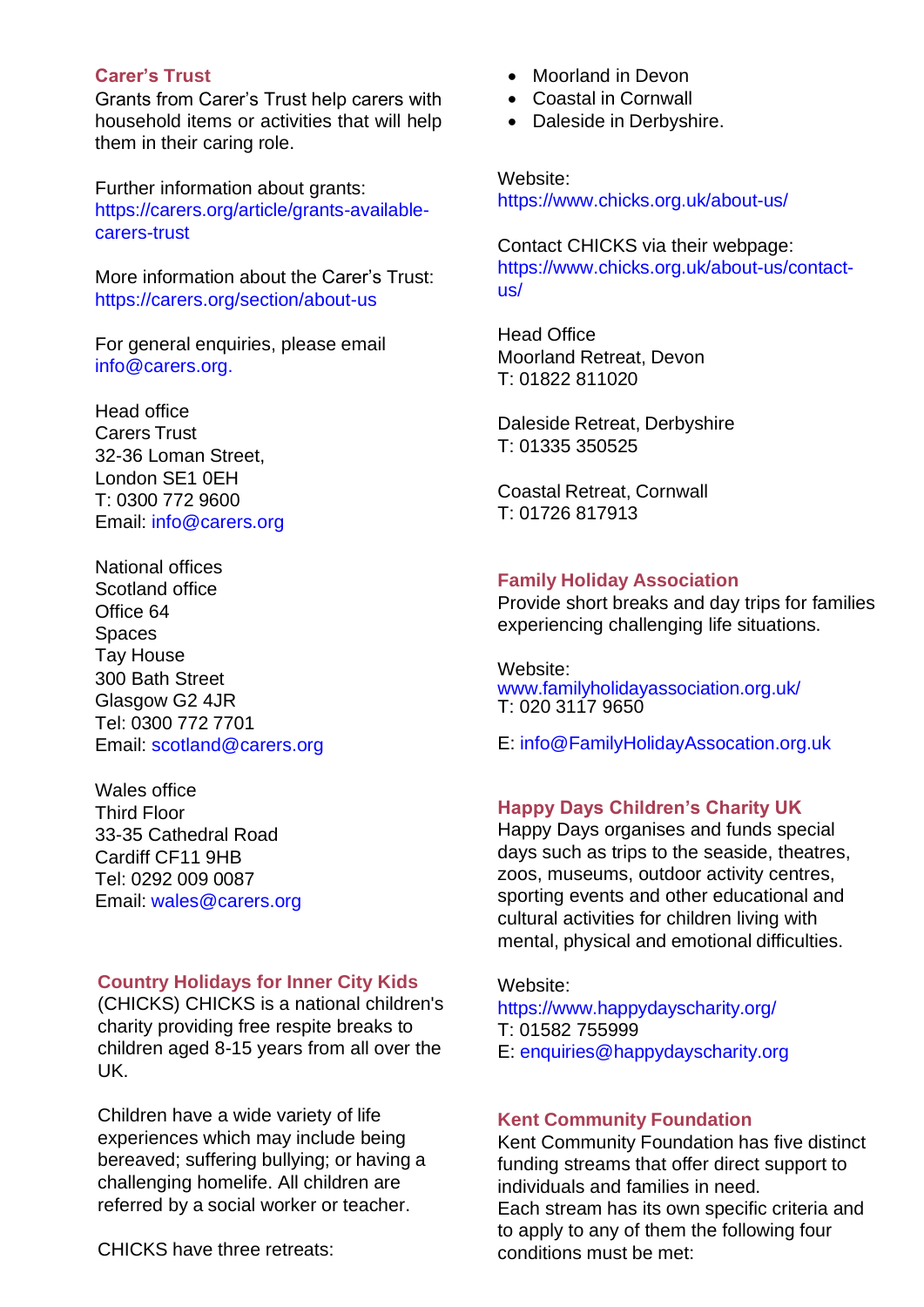#### **Carer's Trust**

Grants from Carer's Trust help carers with household items or activities that will help them in their caring role.

Further information about grants: https://carers.org/article/grants-availablecarers-trust

More information about the Carer's Trust: https://carers.org/section/about-us

For general enquiries, please email [info@carers.org.](mailto:info@carers.org)

Head office Carers Trust 32-36 Loman Street, London SE1 0EH T: 0300 772 9600 Email: [info@carers.org](mailto:info@carers.org)

National offices Scotland office Office 64 Spaces Tay House 300 Bath Street Glasgow G2 4JR Tel: 0300 772 7701 Email: [scotland@carers.org](mailto:scotland@carers.org)

Wales office Third Floor 33-35 Cathedral Road Cardiff CF11 9HB Tel: 0292 009 0087 Email: [wales@carers.org](mailto:wales@carers.org)

#### **Country Holidays for Inner City Kids**

(CHICKS) CHICKS is a national children's charity providing free respite breaks to children aged 8-15 years from all over the UK.

Children have a wide variety of life experiences which may include being bereaved; suffering bullying; or having a challenging homelife. All children are referred by a social worker or teacher.

CHICKS have three retreats:

- Moorland in Devon
- Coastal in Cornwall
- Daleside in Derbyshire.

Website: [https://www.chicks.org.uk/about-us/](http://www.chicks.org.uk/about-us/)

Contact CHICKS via their webpage: [https://www.chicks.org.uk/about-us/contact](http://www.chicks.org.uk/about-us/contact-)us/

Head Office Moorland Retreat, Devon T: 01822 811020

Daleside Retreat, Derbyshire T: 01335 350525

Coastal Retreat, Cornwall T: 01726 817913

#### **Family Holiday Association**

Provide short breaks and day trips for families experiencing challenging life situations.

Website: [www.familyholidayassociation.org.uk/](http://www.familyholidayassociation.org.uk/) T: 020 3117 9650

E: [info@FamilyHolidayAssocation.org.uk](mailto:info@FamilyHolidayAssocation.org.uk)

#### **Happy Days Children's Charity UK**

Happy Days organises and funds special days such as trips to the seaside, theatres, zoos, museums, outdoor activity centres, sporting events and other educational and cultural activities for children living with mental, physical and emotional difficulties.

Website:

[https://www.happydayscharity.org/](http://www.happydayscharity.org/) T: 01582 755999 E: [enquiries@happydayscharity.org](mailto:enquiries@happydayscharity.org)

#### **Kent Community Foundation**

Kent Community Foundation has five distinct funding streams that offer direct support to individuals and families in need. Each stream has its own specific criteria and to apply to any of them the following four conditions must be met: